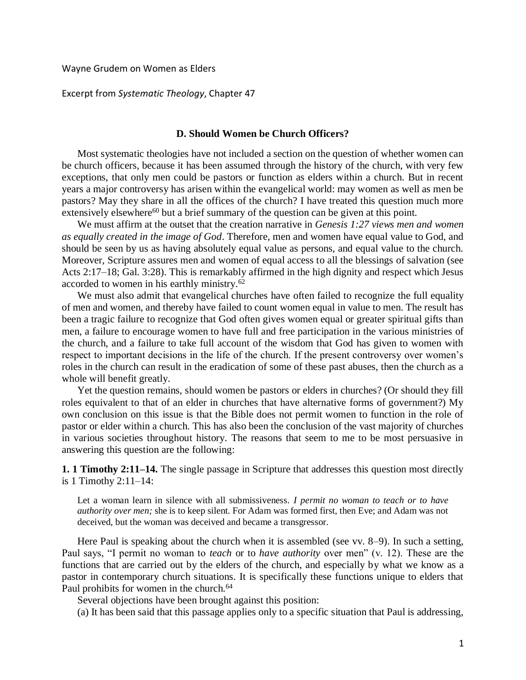## Wayne Grudem on Women as Elders

Excerpt from *Systematic Theology*, Chapter 47

## **D. Should Women be Church Officers?**

Most systematic theologies have not included a section on the question of whether women can be church officers, because it has been assumed through the history of the church, with very few exceptions, that only men could be pastors or function as elders within a church. But in recent years a major controversy has arisen within the evangelical world: may women as well as men be pastors? May they share in all the offices of the church? I have treated this question much more extensively elsewhere<sup>60</sup> but a brief summary of the question can be given at this point.

We must affirm at the outset that the creation narrative in *Genesis 1:27 views men and women as equally created in the image of God*. Therefore, men and women have equal value to God, and should be seen by us as having absolutely equal value as persons, and equal value to the church. Moreover, Scripture assures men and women of equal access to all the blessings of salvation (see Acts 2:17–18; Gal. 3:28). This is remarkably affirmed in the high dignity and respect which Jesus accorded to women in his earthly ministry.<sup>62</sup>

We must also admit that evangelical churches have often failed to recognize the full equality of men and women, and thereby have failed to count women equal in value to men. The result has been a tragic failure to recognize that God often gives women equal or greater spiritual gifts than men, a failure to encourage women to have full and free participation in the various ministries of the church, and a failure to take full account of the wisdom that God has given to women with respect to important decisions in the life of the church. If the present controversy over women's roles in the church can result in the eradication of some of these past abuses, then the church as a whole will benefit greatly.

Yet the question remains, should women be pastors or elders in churches? (Or should they fill roles equivalent to that of an elder in churches that have alternative forms of government?) My own conclusion on this issue is that the Bible does not permit women to function in the role of pastor or elder within a church. This has also been the conclusion of the vast majority of churches in various societies throughout history. The reasons that seem to me to be most persuasive in answering this question are the following:

**1. 1 Timothy 2:11–14.** The single passage in Scripture that addresses this question most directly is 1 Timothy 2:11–14:

Let a woman learn in silence with all submissiveness. *I permit no woman to teach or to have authority over men;* she is to keep silent. For Adam was formed first, then Eve; and Adam was not deceived, but the woman was deceived and became a transgressor.

Here Paul is speaking about the church when it is assembled (see vv. 8–9). In such a setting, Paul says, "I permit no woman to *teach* or to *have authority* over men" (v. 12). These are the functions that are carried out by the elders of the church, and especially by what we know as a pastor in contemporary church situations. It is specifically these functions unique to elders that Paul prohibits for women in the church.<sup>64</sup>

Several objections have been brought against this position:

(a) It has been said that this passage applies only to a specific situation that Paul is addressing,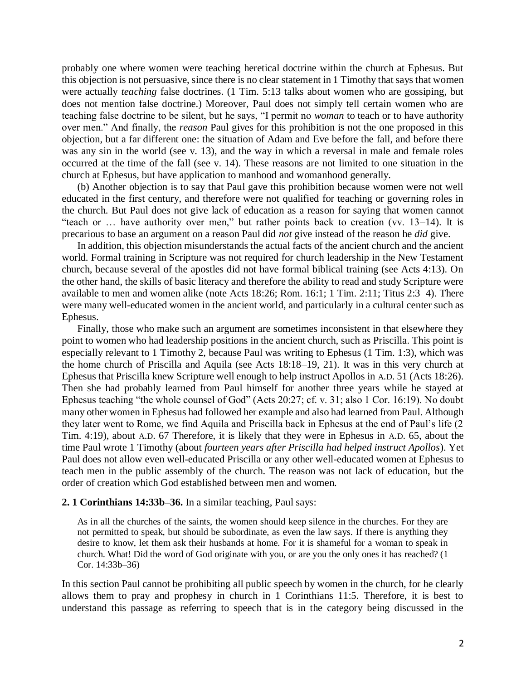probably one where women were teaching heretical doctrine within the church at Ephesus. But this objection is not persuasive, since there is no clear statement in 1 Timothy that says that women were actually *teaching* false doctrines. (1 Tim. 5:13 talks about women who are gossiping, but does not mention false doctrine.) Moreover, Paul does not simply tell certain women who are teaching false doctrine to be silent, but he says, "I permit no *woman* to teach or to have authority over men." And finally, the *reason* Paul gives for this prohibition is not the one proposed in this objection, but a far different one: the situation of Adam and Eve before the fall, and before there was any sin in the world (see v. 13), and the way in which a reversal in male and female roles occurred at the time of the fall (see v. 14). These reasons are not limited to one situation in the church at Ephesus, but have application to manhood and womanhood generally.

(b) Another objection is to say that Paul gave this prohibition because women were not well educated in the first century, and therefore were not qualified for teaching or governing roles in the church. But Paul does not give lack of education as a reason for saying that women cannot "teach or … have authority over men," but rather points back to creation (vv. 13–14). It is precarious to base an argument on a reason Paul did *not* give instead of the reason he *did* give.

In addition, this objection misunderstands the actual facts of the ancient church and the ancient world. Formal training in Scripture was not required for church leadership in the New Testament church, because several of the apostles did not have formal biblical training (see Acts 4:13). On the other hand, the skills of basic literacy and therefore the ability to read and study Scripture were available to men and women alike (note Acts 18:26; Rom. 16:1; 1 Tim. 2:11; Titus 2:3–4). There were many well-educated women in the ancient world, and particularly in a cultural center such as Ephesus.

Finally, those who make such an argument are sometimes inconsistent in that elsewhere they point to women who had leadership positions in the ancient church, such as Priscilla. This point is especially relevant to 1 Timothy 2, because Paul was writing to Ephesus (1 Tim. 1:3), which was the home church of Priscilla and Aquila (see Acts 18:18–19, 21). It was in this very church at Ephesus that Priscilla knew Scripture well enough to help instruct Apollos in A.D. 51 (Acts 18:26). Then she had probably learned from Paul himself for another three years while he stayed at Ephesus teaching "the whole counsel of God" (Acts 20:27; cf. v. 31; also 1 Cor. 16:19). No doubt many other women in Ephesus had followed her example and also had learned from Paul. Although they later went to Rome, we find Aquila and Priscilla back in Ephesus at the end of Paul's life (2 Tim. 4:19), about A.D. 67 Therefore, it is likely that they were in Ephesus in A.D. 65, about the time Paul wrote 1 Timothy (about *fourteen years after Priscilla had helped instruct Apollos*). Yet Paul does not allow even well-educated Priscilla or any other well-educated women at Ephesus to teach men in the public assembly of the church. The reason was not lack of education, but the order of creation which God established between men and women.

## **2. 1 Corinthians 14:33b–36.** In a similar teaching, Paul says:

As in all the churches of the saints, the women should keep silence in the churches. For they are not permitted to speak, but should be subordinate, as even the law says. If there is anything they desire to know, let them ask their husbands at home. For it is shameful for a woman to speak in church. What! Did the word of God originate with you, or are you the only ones it has reached? (1 Cor. 14:33b–36)

In this section Paul cannot be prohibiting all public speech by women in the church, for he clearly allows them to pray and prophesy in church in 1 Corinthians 11:5. Therefore, it is best to understand this passage as referring to speech that is in the category being discussed in the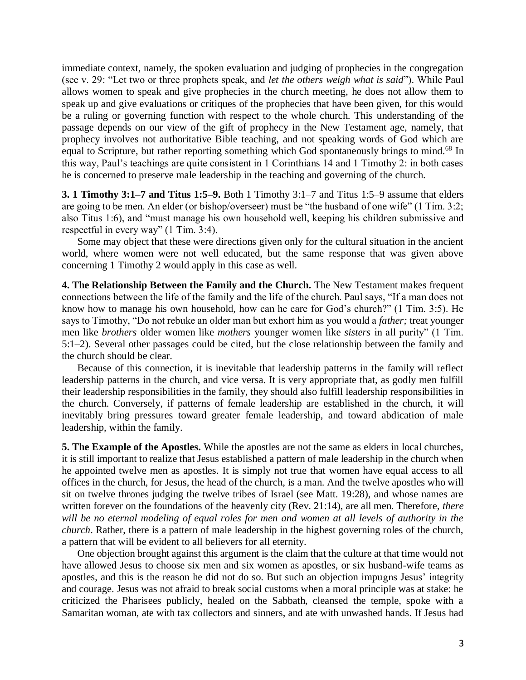immediate context, namely, the spoken evaluation and judging of prophecies in the congregation (see v. 29: "Let two or three prophets speak, and *let the others weigh what is said*"). While Paul allows women to speak and give prophecies in the church meeting, he does not allow them to speak up and give evaluations or critiques of the prophecies that have been given, for this would be a ruling or governing function with respect to the whole church. This understanding of the passage depends on our view of the gift of prophecy in the New Testament age, namely, that prophecy involves not authoritative Bible teaching, and not speaking words of God which are equal to Scripture, but rather reporting something which God spontaneously brings to mind.<sup>68</sup> In this way, Paul's teachings are quite consistent in 1 Corinthians 14 and 1 Timothy 2: in both cases he is concerned to preserve male leadership in the teaching and governing of the church.

**3. 1 Timothy 3:1–7 and Titus 1:5–9.** Both 1 Timothy 3:1–7 and Titus 1:5–9 assume that elders are going to be men. An elder (or bishop/overseer) must be "the husband of one wife" (1 Tim. 3:2; also Titus 1:6), and "must manage his own household well, keeping his children submissive and respectful in every way" (1 Tim. 3:4).

Some may object that these were directions given only for the cultural situation in the ancient world, where women were not well educated, but the same response that was given above concerning 1 Timothy 2 would apply in this case as well.

**4. The Relationship Between the Family and the Church.** The New Testament makes frequent connections between the life of the family and the life of the church. Paul says, "If a man does not know how to manage his own household, how can he care for God's church?" (1 Tim. 3:5). He says to Timothy, "Do not rebuke an older man but exhort him as you would a *father;* treat younger men like *brothers* older women like *mothers* younger women like *sisters* in all purity" (1 Tim. 5:1–2). Several other passages could be cited, but the close relationship between the family and the church should be clear.

Because of this connection, it is inevitable that leadership patterns in the family will reflect leadership patterns in the church, and vice versa. It is very appropriate that, as godly men fulfill their leadership responsibilities in the family, they should also fulfill leadership responsibilities in the church. Conversely, if patterns of female leadership are established in the church, it will inevitably bring pressures toward greater female leadership, and toward abdication of male leadership, within the family.

**5. The Example of the Apostles.** While the apostles are not the same as elders in local churches, it is still important to realize that Jesus established a pattern of male leadership in the church when he appointed twelve men as apostles. It is simply not true that women have equal access to all offices in the church, for Jesus, the head of the church, is a man. And the twelve apostles who will sit on twelve thrones judging the twelve tribes of Israel (see Matt. 19:28), and whose names are written forever on the foundations of the heavenly city (Rev. 21:14), are all men. Therefore, *there will be no eternal modeling of equal roles for men and women at all levels of authority in the church*. Rather, there is a pattern of male leadership in the highest governing roles of the church, a pattern that will be evident to all believers for all eternity.

One objection brought against this argument is the claim that the culture at that time would not have allowed Jesus to choose six men and six women as apostles, or six husband-wife teams as apostles, and this is the reason he did not do so. But such an objection impugns Jesus' integrity and courage. Jesus was not afraid to break social customs when a moral principle was at stake: he criticized the Pharisees publicly, healed on the Sabbath, cleansed the temple, spoke with a Samaritan woman, ate with tax collectors and sinners, and ate with unwashed hands. If Jesus had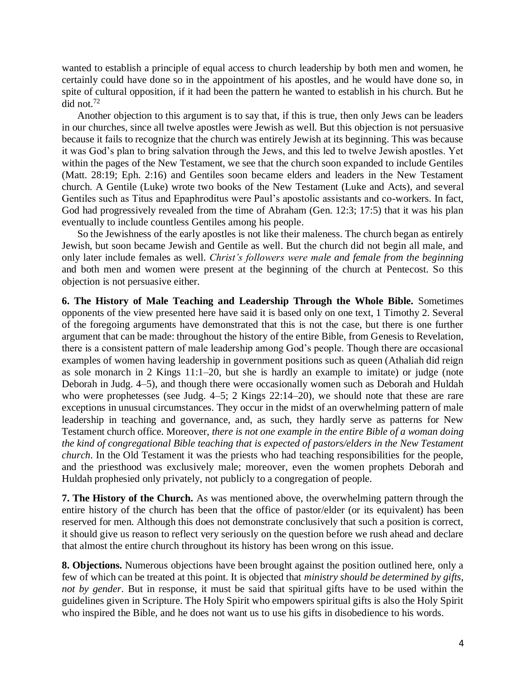wanted to establish a principle of equal access to church leadership by both men and women, he certainly could have done so in the appointment of his apostles, and he would have done so, in spite of cultural opposition, if it had been the pattern he wanted to establish in his church. But he did not.<sup>72</sup>

Another objection to this argument is to say that, if this is true, then only Jews can be leaders in our churches, since all twelve apostles were Jewish as well. But this objection is not persuasive because it fails to recognize that the church was entirely Jewish at its beginning. This was because it was God's plan to bring salvation through the Jews, and this led to twelve Jewish apostles. Yet within the pages of the New Testament, we see that the church soon expanded to include Gentiles (Matt. 28:19; Eph. 2:16) and Gentiles soon became elders and leaders in the New Testament church. A Gentile (Luke) wrote two books of the New Testament (Luke and Acts), and several Gentiles such as Titus and Epaphroditus were Paul's apostolic assistants and co-workers. In fact, God had progressively revealed from the time of Abraham (Gen. 12:3; 17:5) that it was his plan eventually to include countless Gentiles among his people.

So the Jewishness of the early apostles is not like their maleness. The church began as entirely Jewish, but soon became Jewish and Gentile as well. But the church did not begin all male, and only later include females as well. *Christ's followers were male and female from the beginning* and both men and women were present at the beginning of the church at Pentecost. So this objection is not persuasive either.

**6. The History of Male Teaching and Leadership Through the Whole Bible.** Sometimes opponents of the view presented here have said it is based only on one text, 1 Timothy 2. Several of the foregoing arguments have demonstrated that this is not the case, but there is one further argument that can be made: throughout the history of the entire Bible, from Genesis to Revelation, there is a consistent pattern of male leadership among God's people. Though there are occasional examples of women having leadership in government positions such as queen (Athaliah did reign as sole monarch in 2 Kings 11:1–20, but she is hardly an example to imitate) or judge (note Deborah in Judg. 4–5), and though there were occasionally women such as Deborah and Huldah who were prophetesses (see Judg. 4–5; 2 Kings 22:14–20), we should note that these are rare exceptions in unusual circumstances. They occur in the midst of an overwhelming pattern of male leadership in teaching and governance, and, as such, they hardly serve as patterns for New Testament church office. Moreover, *there is not one example in the entire Bible of a woman doing the kind of congregational Bible teaching that is expected of pastors/elders in the New Testament church*. In the Old Testament it was the priests who had teaching responsibilities for the people, and the priesthood was exclusively male; moreover, even the women prophets Deborah and Huldah prophesied only privately, not publicly to a congregation of people.

**7. The History of the Church.** As was mentioned above, the overwhelming pattern through the entire history of the church has been that the office of pastor/elder (or its equivalent) has been reserved for men. Although this does not demonstrate conclusively that such a position is correct, it should give us reason to reflect very seriously on the question before we rush ahead and declare that almost the entire church throughout its history has been wrong on this issue.

**8. Objections.** Numerous objections have been brought against the position outlined here, only a few of which can be treated at this point. It is objected that *ministry should be determined by gifts, not by gender*. But in response, it must be said that spiritual gifts have to be used within the guidelines given in Scripture. The Holy Spirit who empowers spiritual gifts is also the Holy Spirit who inspired the Bible, and he does not want us to use his gifts in disobedience to his words.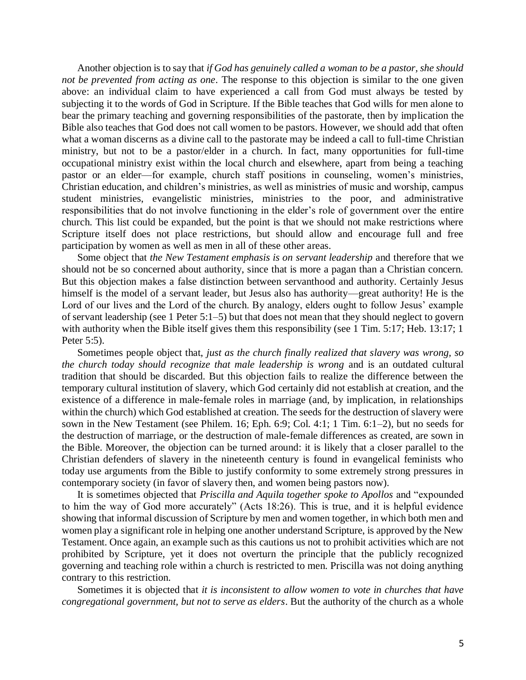Another objection is to say that *if God has genuinely called a woman to be a pastor, she should not be prevented from acting as one*. The response to this objection is similar to the one given above: an individual claim to have experienced a call from God must always be tested by subjecting it to the words of God in Scripture. If the Bible teaches that God wills for men alone to bear the primary teaching and governing responsibilities of the pastorate, then by implication the Bible also teaches that God does not call women to be pastors. However, we should add that often what a woman discerns as a divine call to the pastorate may be indeed a call to full-time Christian ministry, but not to be a pastor/elder in a church. In fact, many opportunities for full-time occupational ministry exist within the local church and elsewhere, apart from being a teaching pastor or an elder—for example, church staff positions in counseling, women's ministries, Christian education, and children's ministries, as well as ministries of music and worship, campus student ministries, evangelistic ministries, ministries to the poor, and administrative responsibilities that do not involve functioning in the elder's role of government over the entire church. This list could be expanded, but the point is that we should not make restrictions where Scripture itself does not place restrictions, but should allow and encourage full and free participation by women as well as men in all of these other areas.

Some object that *the New Testament emphasis is on servant leadership* and therefore that we should not be so concerned about authority, since that is more a pagan than a Christian concern. But this objection makes a false distinction between servanthood and authority. Certainly Jesus himself is the model of a servant leader, but Jesus also has authority—great authority! He is the Lord of our lives and the Lord of the church. By analogy, elders ought to follow Jesus' example of servant leadership (see 1 Peter 5:1–5) but that does not mean that they should neglect to govern with authority when the Bible itself gives them this responsibility (see 1 Tim. 5:17; Heb. 13:17; 1 Peter 5:5).

Sometimes people object that, *just as the church finally realized that slavery was wrong, so the church today should recognize that male leadership is wrong* and is an outdated cultural tradition that should be discarded. But this objection fails to realize the difference between the temporary cultural institution of slavery, which God certainly did not establish at creation, and the existence of a difference in male-female roles in marriage (and, by implication, in relationships within the church) which God established at creation. The seeds for the destruction of slavery were sown in the New Testament (see Philem. 16; Eph. 6:9; Col. 4:1; 1 Tim. 6:1–2), but no seeds for the destruction of marriage, or the destruction of male-female differences as created, are sown in the Bible. Moreover, the objection can be turned around: it is likely that a closer parallel to the Christian defenders of slavery in the nineteenth century is found in evangelical feminists who today use arguments from the Bible to justify conformity to some extremely strong pressures in contemporary society (in favor of slavery then, and women being pastors now).

It is sometimes objected that *Priscilla and Aquila together spoke to Apollos* and "expounded to him the way of God more accurately" (Acts 18:26). This is true, and it is helpful evidence showing that informal discussion of Scripture by men and women together, in which both men and women play a significant role in helping one another understand Scripture, is approved by the New Testament. Once again, an example such as this cautions us not to prohibit activities which are not prohibited by Scripture, yet it does not overturn the principle that the publicly recognized governing and teaching role within a church is restricted to men. Priscilla was not doing anything contrary to this restriction.

Sometimes it is objected that *it is inconsistent to allow women to vote in churches that have congregational government, but not to serve as elders*. But the authority of the church as a whole